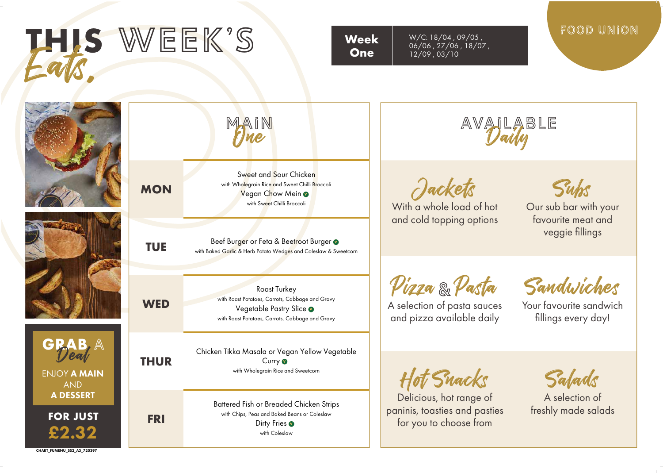| THIS WEEK'S                                                                |             | <b>Week</b><br><b>One</b>                                                                                                                             | W/C: 18/04, 09/05,<br>06/06, 27/06, 18/07,<br>12/09, 03/10                         | FOOD UNION                                                   |
|----------------------------------------------------------------------------|-------------|-------------------------------------------------------------------------------------------------------------------------------------------------------|------------------------------------------------------------------------------------|--------------------------------------------------------------|
|                                                                            |             | MAIN                                                                                                                                                  | AVAILABLE                                                                          |                                                              |
|                                                                            | <b>MON</b>  | Sweet and Sour Chicken<br>with Wholegrain Rice and Sweet Chilli Broccoli<br>Vegan Chow Mein o<br>with Sweet Chilli Broccoli                           | Jackets<br>With a whole load of hot                                                | Subs<br>Our sub bar with your<br>favourite meat and          |
|                                                                            | <b>TUE</b>  | Beef Burger or Feta & Beetroot Burger<br>with Baked Garlic & Herb Potato Wedges and Coleslaw & Sweetcorn                                              | and cold topping options                                                           | veggie fillings                                              |
|                                                                            | <b>WED</b>  | <b>Roast Turkey</b><br>with Roast Potatoes, Carrots, Cabbage and Gravy<br>Vegetable Pastry Slice o<br>with Roast Potatoes, Carrots, Cabbage and Gravy | Pizza & Pasta<br>A selection of pasta sauces<br>and pizza available daily          | Sandwiches<br>Your favourite sandwich<br>fillings every day! |
| <b>ENJOY A MAIN</b><br><b>AND</b>                                          | <b>THUR</b> | Chicken Tikka Masala or Vegan Yellow Vegetable<br>Curry <b>O</b><br>with Wholegrain Rice and Sweetcorn                                                | ot Snacks                                                                          | Salads                                                       |
| <b>A DESSERT</b><br><b>FOR JUST</b><br>£2.32<br>CHART_FUMENU_SS2_A3_720397 | <b>FRI</b>  | Battered Fish or Breaded Chicken Strips<br>with Chips, Peas and Baked Beans or Coleslaw<br>Dirty Fries<br>with Coleslaw                               | Delicious, hot range of<br>paninis, toasties and pasties<br>for you to choose from | A selection of<br>freshly made salads                        |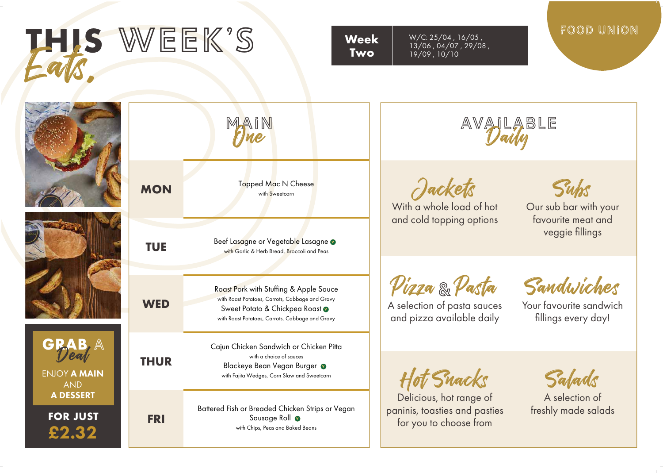